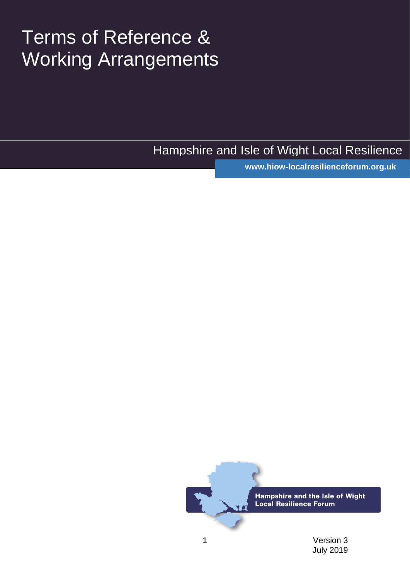# Terms of Reference & Working Arrangements

Hampshire and Isle of Wight Local Resilience

www.hiow-localresilienceforum.org.uk

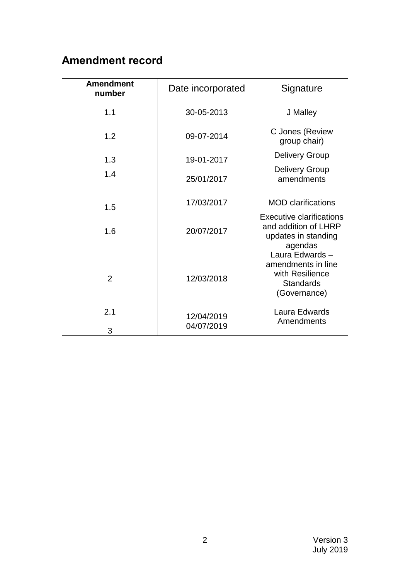# **Amendment record**

| <b>Amendment</b><br>number | Date incorporated        | Signature                                                                                   |
|----------------------------|--------------------------|---------------------------------------------------------------------------------------------|
| 1.1                        | 30-05-2013               | J Malley                                                                                    |
| 1.2                        | 09-07-2014               | C Jones (Review<br>group chair)                                                             |
| 1.3                        | 19-01-2017               | <b>Delivery Group</b>                                                                       |
| 1.4                        | 25/01/2017               | <b>Delivery Group</b><br>amendments                                                         |
| 1.5                        | 17/03/2017               | <b>MOD</b> clarifications                                                                   |
| 1.6                        | 20/07/2017               | <b>Executive clarifications</b><br>and addition of LHRP<br>updates in standing<br>agendas   |
| $\overline{2}$             | 12/03/2018               | Laura Edwards-<br>amendments in line<br>with Resilience<br><b>Standards</b><br>(Governance) |
| 2.1<br>3                   | 12/04/2019<br>04/07/2019 | Laura Edwards<br>Amendments                                                                 |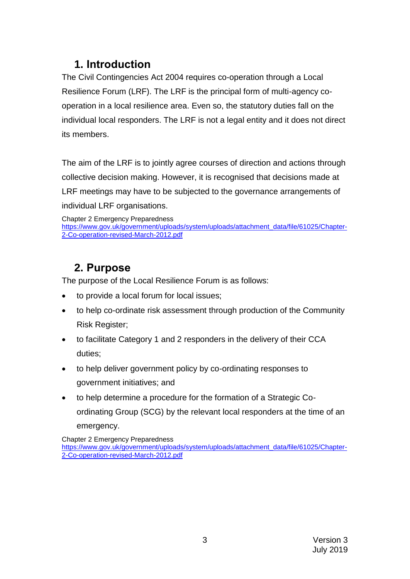# **1. Introduction**

The Civil Contingencies Act 2004 requires co-operation through a Local Resilience Forum (LRF). The LRF is the principal form of multi-agency cooperation in a local resilience area. Even so, the statutory duties fall on the individual local responders. The LRF is not a legal entity and it does not direct its members.

The aim of the LRF is to jointly agree courses of direction and actions through collective decision making. However, it is recognised that decisions made at LRF meetings may have to be subjected to the governance arrangements of individual LRF organisations.

Chapter 2 Emergency Preparedness [https://www.gov.uk/government/uploads/system/uploads/attachment\\_data/file/61025/Chapter-](https://www.gov.uk/government/uploads/system/uploads/attachment_data/file/61025/Chapter-2-Co-operation-revised-March-2012.pdf)[2-Co-operation-revised-March-2012.pdf](https://www.gov.uk/government/uploads/system/uploads/attachment_data/file/61025/Chapter-2-Co-operation-revised-March-2012.pdf)

# **2. Purpose**

The purpose of the Local Resilience Forum is as follows:

- to provide a local forum for local issues;
- to help co-ordinate risk assessment through production of the Community Risk Register;
- to facilitate Category 1 and 2 responders in the delivery of their CCA duties;
- to help deliver government policy by co-ordinating responses to government initiatives; and
- to help determine a procedure for the formation of a Strategic Coordinating Group (SCG) by the relevant local responders at the time of an emergency.

Chapter 2 Emergency Preparedness

[https://www.gov.uk/government/uploads/system/uploads/attachment\\_data/file/61025/Chapter-](https://www.gov.uk/government/uploads/system/uploads/attachment_data/file/61025/Chapter-2-Co-operation-revised-March-2012.pdf)[2-Co-operation-revised-March-2012.pdf](https://www.gov.uk/government/uploads/system/uploads/attachment_data/file/61025/Chapter-2-Co-operation-revised-March-2012.pdf)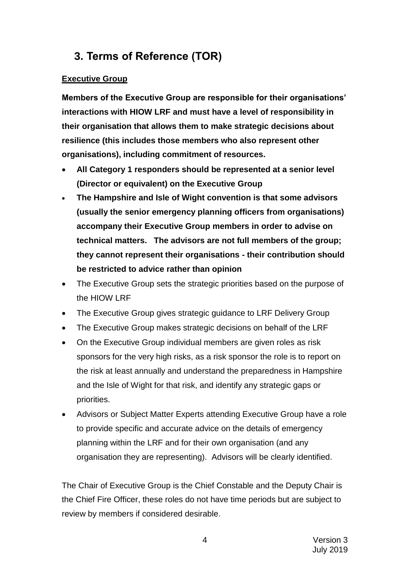# **3. Terms of Reference (TOR)**

#### **Executive Group**

**Members of the Executive Group are responsible for their organisations' interactions with HIOW LRF and must have a level of responsibility in their organisation that allows them to make strategic decisions about resilience (this includes those members who also represent other organisations), including commitment of resources.**

- **All Category 1 responders should be represented at a senior level (Director or equivalent) on the Executive Group**
- **The Hampshire and Isle of Wight convention is that some advisors (usually the senior emergency planning officers from organisations) accompany their Executive Group members in order to advise on technical matters. The advisors are not full members of the group; they cannot represent their organisations - their contribution should be restricted to advice rather than opinion**
- The Executive Group sets the strategic priorities based on the purpose of the HIOW LRF
- The Executive Group gives strategic guidance to LRF Delivery Group
- The Executive Group makes strategic decisions on behalf of the LRF
- On the Executive Group individual members are given roles as risk sponsors for the very high risks, as a risk sponsor the role is to report on the risk at least annually and understand the preparedness in Hampshire and the Isle of Wight for that risk, and identify any strategic gaps or priorities.
- Advisors or Subject Matter Experts attending Executive Group have a role to provide specific and accurate advice on the details of emergency planning within the LRF and for their own organisation (and any organisation they are representing). Advisors will be clearly identified.

The Chair of Executive Group is the Chief Constable and the Deputy Chair is the Chief Fire Officer, these roles do not have time periods but are subject to review by members if considered desirable.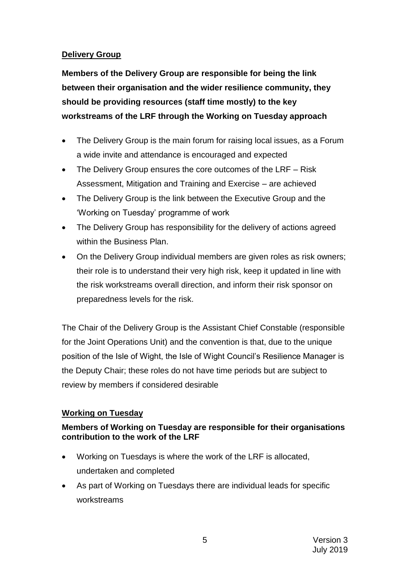#### **Delivery Group**

**Members of the Delivery Group are responsible for being the link between their organisation and the wider resilience community, they should be providing resources (staff time mostly) to the key workstreams of the LRF through the Working on Tuesday approach**

- The Delivery Group is the main forum for raising local issues, as a Forum a wide invite and attendance is encouraged and expected
- The Delivery Group ensures the core outcomes of the LRF Risk Assessment, Mitigation and Training and Exercise – are achieved
- The Delivery Group is the link between the Executive Group and the 'Working on Tuesday' programme of work
- The Delivery Group has responsibility for the delivery of actions agreed within the Business Plan.
- On the Delivery Group individual members are given roles as risk owners; their role is to understand their very high risk, keep it updated in line with the risk workstreams overall direction, and inform their risk sponsor on preparedness levels for the risk.

The Chair of the Delivery Group is the Assistant Chief Constable (responsible for the Joint Operations Unit) and the convention is that, due to the unique position of the Isle of Wight, the Isle of Wight Council's Resilience Manager is the Deputy Chair; these roles do not have time periods but are subject to review by members if considered desirable

#### **Working on Tuesday**

#### **Members of Working on Tuesday are responsible for their organisations contribution to the work of the LRF**

- Working on Tuesdays is where the work of the LRF is allocated, undertaken and completed
- As part of Working on Tuesdays there are individual leads for specific workstreams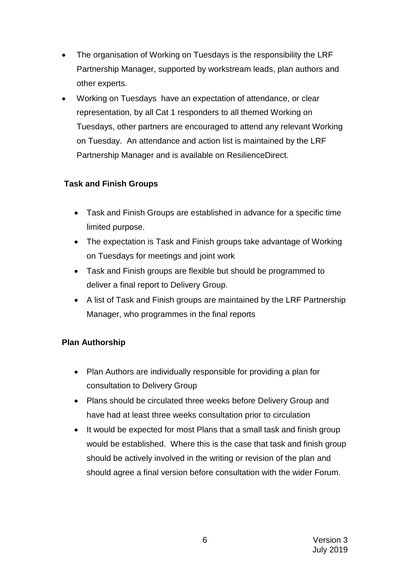- The organisation of Working on Tuesdays is the responsibility the LRF Partnership Manager, supported by workstream leads, plan authors and other experts.
- Working on Tuesdays have an expectation of attendance, or clear representation, by all Cat 1 responders to all themed Working on Tuesdays, other partners are encouraged to attend any relevant Working on Tuesday. An attendance and action list is maintained by the LRF Partnership Manager and is available on ResilienceDirect.

#### **Task and Finish Groups**

- Task and Finish Groups are established in advance for a specific time limited purpose.
- The expectation is Task and Finish groups take advantage of Working on Tuesdays for meetings and joint work
- Task and Finish groups are flexible but should be programmed to deliver a final report to Delivery Group.
- A list of Task and Finish groups are maintained by the LRF Partnership Manager, who programmes in the final reports

#### **Plan Authorship**

- Plan Authors are individually responsible for providing a plan for consultation to Delivery Group
- Plans should be circulated three weeks before Delivery Group and have had at least three weeks consultation prior to circulation
- It would be expected for most Plans that a small task and finish group would be established. Where this is the case that task and finish group should be actively involved in the writing or revision of the plan and should agree a final version before consultation with the wider Forum.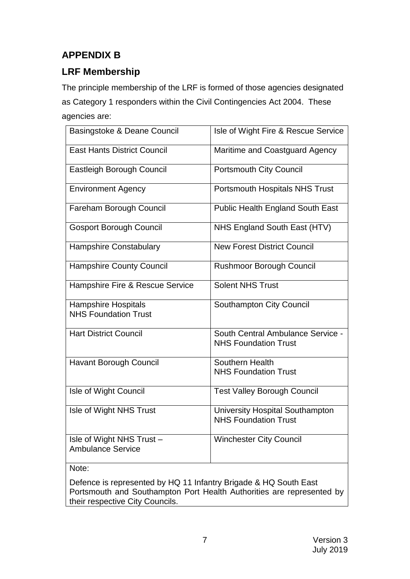## **APPENDIX B**

## **LRF Membership**

The principle membership of the LRF is formed of those agencies designated as Category 1 responders within the Civil Contingencies Act 2004. These agencies are:

| Basingstoke & Deane Council                               | Isle of Wight Fire & Rescue Service                                   |
|-----------------------------------------------------------|-----------------------------------------------------------------------|
| <b>East Hants District Council</b>                        | Maritime and Coastguard Agency                                        |
| Eastleigh Borough Council                                 | <b>Portsmouth City Council</b>                                        |
| <b>Environment Agency</b>                                 | Portsmouth Hospitals NHS Trust                                        |
| Fareham Borough Council                                   | <b>Public Health England South East</b>                               |
| <b>Gosport Borough Council</b>                            | NHS England South East (HTV)                                          |
| Hampshire Constabulary                                    | <b>New Forest District Council</b>                                    |
| <b>Hampshire County Council</b>                           | <b>Rushmoor Borough Council</b>                                       |
| Hampshire Fire & Rescue Service                           | <b>Solent NHS Trust</b>                                               |
| <b>Hampshire Hospitals</b><br><b>NHS Foundation Trust</b> | Southampton City Council                                              |
| <b>Hart District Council</b>                              | South Central Ambulance Service -<br><b>NHS Foundation Trust</b>      |
| <b>Havant Borough Council</b>                             | Southern Health<br><b>NHS Foundation Trust</b>                        |
| Isle of Wight Council                                     | <b>Test Valley Borough Council</b>                                    |
| Isle of Wight NHS Trust                                   | <b>University Hospital Southampton</b><br><b>NHS Foundation Trust</b> |
| Isle of Wight NHS Trust -<br><b>Ambulance Service</b>     | <b>Winchester City Council</b>                                        |
| N                                                         |                                                                       |

Note:

Defence is represented by HQ 11 Infantry Brigade & HQ South East Portsmouth and Southampton Port Health Authorities are represented by their respective City Councils.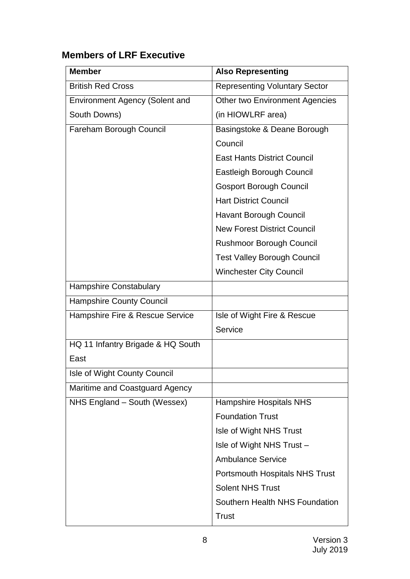# **Members of LRF Executive**

| <b>Member</b>                         | <b>Also Representing</b>              |
|---------------------------------------|---------------------------------------|
| <b>British Red Cross</b>              | <b>Representing Voluntary Sector</b>  |
| <b>Environment Agency (Solent and</b> | Other two Environment Agencies        |
| South Downs)                          | (in HIOWLRF area)                     |
| Fareham Borough Council               | Basingstoke & Deane Borough           |
|                                       | Council                               |
|                                       | <b>East Hants District Council</b>    |
|                                       | <b>Eastleigh Borough Council</b>      |
|                                       | <b>Gosport Borough Council</b>        |
|                                       | <b>Hart District Council</b>          |
|                                       | Havant Borough Council                |
|                                       | <b>New Forest District Council</b>    |
|                                       | <b>Rushmoor Borough Council</b>       |
|                                       | <b>Test Valley Borough Council</b>    |
|                                       | <b>Winchester City Council</b>        |
| <b>Hampshire Constabulary</b>         |                                       |
| <b>Hampshire County Council</b>       |                                       |
| Hampshire Fire & Rescue Service       | Isle of Wight Fire & Rescue           |
|                                       | Service                               |
| HQ 11 Infantry Brigade & HQ South     |                                       |
| East                                  |                                       |
| Isle of Wight County Council          |                                       |
| Maritime and Coastguard Agency        |                                       |
| NHS England - South (Wessex)          | <b>Hampshire Hospitals NHS</b>        |
|                                       | <b>Foundation Trust</b>               |
|                                       | Isle of Wight NHS Trust               |
|                                       | Isle of Wight NHS Trust -             |
|                                       | <b>Ambulance Service</b>              |
|                                       | <b>Portsmouth Hospitals NHS Trust</b> |
|                                       | <b>Solent NHS Trust</b>               |
|                                       | Southern Health NHS Foundation        |
|                                       | <b>Trust</b>                          |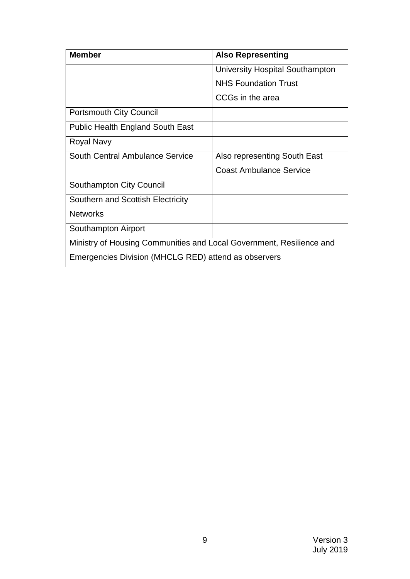| <b>Member</b>                                                        | <b>Also Representing</b>        |  |
|----------------------------------------------------------------------|---------------------------------|--|
|                                                                      | University Hospital Southampton |  |
|                                                                      | <b>NHS Foundation Trust</b>     |  |
|                                                                      | CCGs in the area                |  |
| <b>Portsmouth City Council</b>                                       |                                 |  |
| <b>Public Health England South East</b>                              |                                 |  |
| <b>Royal Navy</b>                                                    |                                 |  |
| <b>South Central Ambulance Service</b>                               | Also representing South East    |  |
|                                                                      | <b>Coast Ambulance Service</b>  |  |
| <b>Southampton City Council</b>                                      |                                 |  |
| Southern and Scottish Electricity                                    |                                 |  |
| <b>Networks</b>                                                      |                                 |  |
| Southampton Airport                                                  |                                 |  |
| Ministry of Housing Communities and Local Government, Resilience and |                                 |  |
| Emergencies Division (MHCLG RED) attend as observers                 |                                 |  |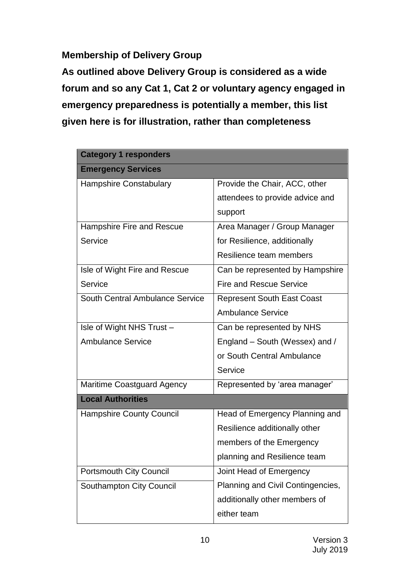**Membership of Delivery Group**

**As outlined above Delivery Group is considered as a wide forum and so any Cat 1, Cat 2 or voluntary agency engaged in emergency preparedness is potentially a member, this list given here is for illustration, rather than completeness**

| <b>Category 1 responders</b>           |                                   |
|----------------------------------------|-----------------------------------|
| <b>Emergency Services</b>              |                                   |
| <b>Hampshire Constabulary</b>          | Provide the Chair, ACC, other     |
|                                        | attendees to provide advice and   |
|                                        | support                           |
| Hampshire Fire and Rescue              | Area Manager / Group Manager      |
| Service                                | for Resilience, additionally      |
|                                        | Resilience team members           |
| Isle of Wight Fire and Rescue          | Can be represented by Hampshire   |
| Service                                | <b>Fire and Rescue Service</b>    |
| <b>South Central Ambulance Service</b> | <b>Represent South East Coast</b> |
|                                        | <b>Ambulance Service</b>          |
| Isle of Wight NHS Trust -              | Can be represented by NHS         |
| <b>Ambulance Service</b>               | England – South (Wessex) and /    |
|                                        | or South Central Ambulance        |
|                                        | Service                           |
| <b>Maritime Coastguard Agency</b>      | Represented by 'area manager'     |
| <b>Local Authorities</b>               |                                   |
| <b>Hampshire County Council</b>        | Head of Emergency Planning and    |
|                                        | Resilience additionally other     |
|                                        | members of the Emergency          |
|                                        | planning and Resilience team      |
| <b>Portsmouth City Council</b>         | Joint Head of Emergency           |
| <b>Southampton City Council</b>        | Planning and Civil Contingencies, |
|                                        | additionally other members of     |
|                                        | either team                       |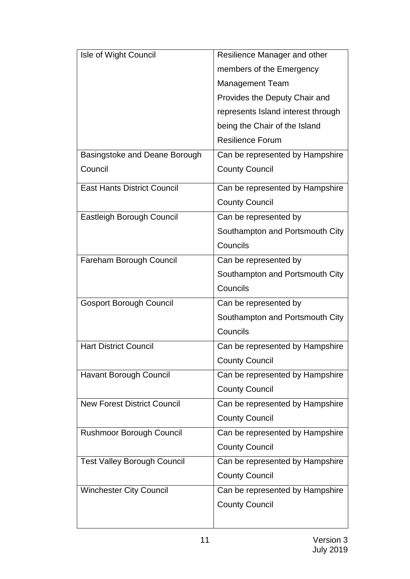| Isle of Wight Council              | Resilience Manager and other       |
|------------------------------------|------------------------------------|
|                                    | members of the Emergency           |
|                                    | <b>Management Team</b>             |
|                                    | Provides the Deputy Chair and      |
|                                    | represents Island interest through |
|                                    | being the Chair of the Island      |
|                                    | <b>Resilience Forum</b>            |
| Basingstoke and Deane Borough      | Can be represented by Hampshire    |
| Council                            | <b>County Council</b>              |
| <b>East Hants District Council</b> | Can be represented by Hampshire    |
|                                    | <b>County Council</b>              |
| Eastleigh Borough Council          | Can be represented by              |
|                                    | Southampton and Portsmouth City    |
|                                    | Councils                           |
| Fareham Borough Council            | Can be represented by              |
|                                    | Southampton and Portsmouth City    |
|                                    | Councils                           |
| <b>Gosport Borough Council</b>     | Can be represented by              |
|                                    | Southampton and Portsmouth City    |
|                                    | Councils                           |
| <b>Hart District Council</b>       | Can be represented by Hampshire    |
|                                    | <b>County Council</b>              |
| <b>Havant Borough Council</b>      | Can be represented by Hampshire    |
|                                    | <b>County Council</b>              |
| <b>New Forest District Council</b> | Can be represented by Hampshire    |
|                                    | <b>County Council</b>              |
| <b>Rushmoor Borough Council</b>    | Can be represented by Hampshire    |
|                                    | <b>County Council</b>              |
| <b>Test Valley Borough Council</b> | Can be represented by Hampshire    |
|                                    | <b>County Council</b>              |
| <b>Winchester City Council</b>     | Can be represented by Hampshire    |
|                                    | <b>County Council</b>              |
|                                    |                                    |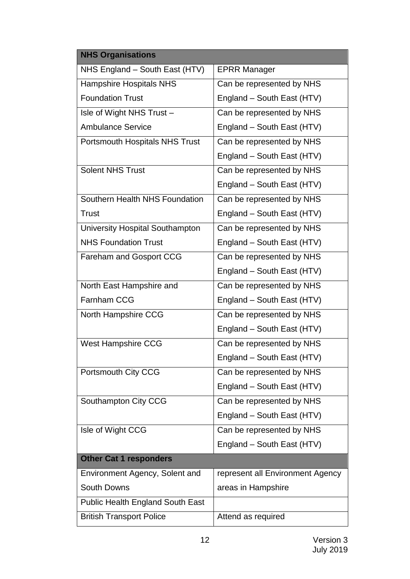| <b>NHS Organisations</b>                |                                  |  |
|-----------------------------------------|----------------------------------|--|
| NHS England - South East (HTV)          | <b>EPRR Manager</b>              |  |
| <b>Hampshire Hospitals NHS</b>          | Can be represented by NHS        |  |
| <b>Foundation Trust</b>                 | England - South East (HTV)       |  |
| Isle of Wight NHS Trust -               | Can be represented by NHS        |  |
| <b>Ambulance Service</b>                | England - South East (HTV)       |  |
| <b>Portsmouth Hospitals NHS Trust</b>   | Can be represented by NHS        |  |
|                                         | England - South East (HTV)       |  |
| <b>Solent NHS Trust</b>                 | Can be represented by NHS        |  |
|                                         | England - South East (HTV)       |  |
| Southern Health NHS Foundation          | Can be represented by NHS        |  |
| Trust                                   | England - South East (HTV)       |  |
| University Hospital Southampton         | Can be represented by NHS        |  |
| <b>NHS Foundation Trust</b>             | England - South East (HTV)       |  |
| <b>Fareham and Gosport CCG</b>          | Can be represented by NHS        |  |
|                                         | England - South East (HTV)       |  |
| North East Hampshire and                | Can be represented by NHS        |  |
| <b>Farnham CCG</b>                      | England - South East (HTV)       |  |
| North Hampshire CCG                     | Can be represented by NHS        |  |
|                                         | England - South East (HTV)       |  |
| <b>West Hampshire CCG</b>               | Can be represented by NHS        |  |
|                                         | England - South East (HTV)       |  |
| Portsmouth City CCG                     | Can be represented by NHS        |  |
|                                         | England - South East (HTV)       |  |
| Southampton City CCG                    | Can be represented by NHS        |  |
|                                         | England - South East (HTV)       |  |
| Isle of Wight CCG                       | Can be represented by NHS        |  |
|                                         | England - South East (HTV)       |  |
| <b>Other Cat 1 responders</b>           |                                  |  |
| Environment Agency, Solent and          | represent all Environment Agency |  |
| <b>South Downs</b>                      | areas in Hampshire               |  |
| <b>Public Health England South East</b> |                                  |  |
| <b>British Transport Police</b>         | Attend as required               |  |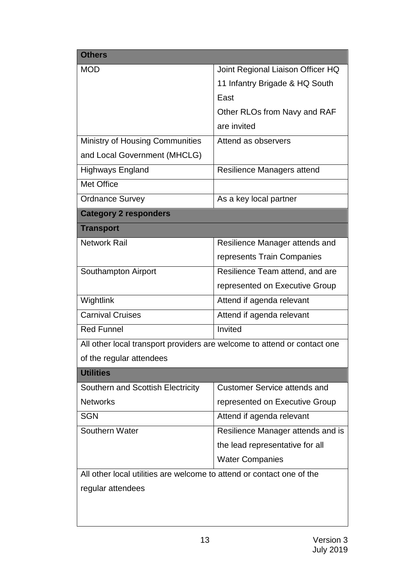| <b>Others</b>                                                            |                                     |  |
|--------------------------------------------------------------------------|-------------------------------------|--|
| <b>MOD</b>                                                               | Joint Regional Liaison Officer HQ   |  |
|                                                                          | 11 Infantry Brigade & HQ South      |  |
|                                                                          | East                                |  |
|                                                                          | Other RLOs from Navy and RAF        |  |
|                                                                          | are invited                         |  |
| <b>Ministry of Housing Communities</b>                                   | Attend as observers                 |  |
| and Local Government (MHCLG)                                             |                                     |  |
| <b>Highways England</b>                                                  | Resilience Managers attend          |  |
| <b>Met Office</b>                                                        |                                     |  |
| <b>Ordnance Survey</b>                                                   | As a key local partner              |  |
| <b>Category 2 responders</b>                                             |                                     |  |
| <b>Transport</b>                                                         |                                     |  |
| <b>Network Rail</b>                                                      | Resilience Manager attends and      |  |
|                                                                          | represents Train Companies          |  |
| Southampton Airport                                                      | Resilience Team attend, and are     |  |
|                                                                          | represented on Executive Group      |  |
| Wightlink                                                                | Attend if agenda relevant           |  |
| <b>Carnival Cruises</b>                                                  | Attend if agenda relevant           |  |
| <b>Red Funnel</b>                                                        | Invited                             |  |
| All other local transport providers are welcome to attend or contact one |                                     |  |
| of the regular attendees                                                 |                                     |  |
| <b>Utilities</b>                                                         |                                     |  |
| Southern and Scottish Electricity                                        | <b>Customer Service attends and</b> |  |
| <b>Networks</b>                                                          | represented on Executive Group      |  |
| <b>SGN</b>                                                               | Attend if agenda relevant           |  |
| <b>Southern Water</b>                                                    | Resilience Manager attends and is   |  |
|                                                                          | the lead representative for all     |  |
|                                                                          | <b>Water Companies</b>              |  |
| All other local utilities are welcome to attend or contact one of the    |                                     |  |
| regular attendees                                                        |                                     |  |
|                                                                          |                                     |  |
|                                                                          |                                     |  |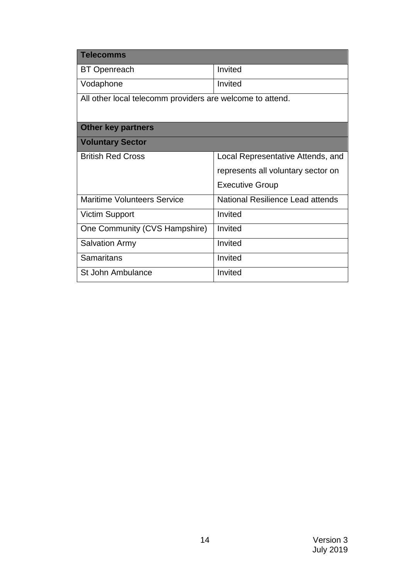| <b>Telecomms</b>                                          |                                    |  |
|-----------------------------------------------------------|------------------------------------|--|
| <b>BT Openreach</b>                                       | Invited                            |  |
| Vodaphone                                                 | Invited                            |  |
| All other local telecomm providers are welcome to attend. |                                    |  |
| <b>Other key partners</b>                                 |                                    |  |
| <b>Voluntary Sector</b>                                   |                                    |  |
| <b>British Red Cross</b>                                  | Local Representative Attends, and  |  |
|                                                           | represents all voluntary sector on |  |
|                                                           | <b>Executive Group</b>             |  |
| <b>Maritime Volunteers Service</b>                        | National Resilience Lead attends   |  |
| <b>Victim Support</b>                                     | Invited                            |  |
| One Community (CVS Hampshire)                             | Invited                            |  |
| <b>Salvation Army</b>                                     | Invited                            |  |
| <b>Samaritans</b>                                         | Invited                            |  |
| St John Ambulance                                         | Invited                            |  |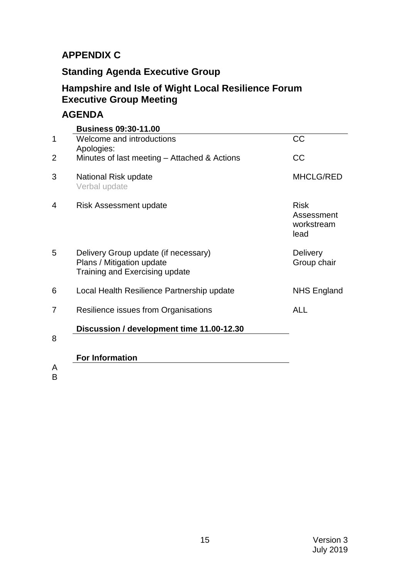#### **APPENDIX C**

## **Standing Agenda Executive Group**

### **Hampshire and Isle of Wight Local Resilience Forum Executive Group Meeting**

### **AGENDA**

|   | <b>Business 09:30-11.00</b>                                                                         |                                                 |
|---|-----------------------------------------------------------------------------------------------------|-------------------------------------------------|
| 1 | Welcome and introductions<br>Apologies:                                                             | <b>CC</b>                                       |
| 2 | Minutes of last meeting - Attached & Actions                                                        | <b>CC</b>                                       |
| 3 | National Risk update<br>Verbal update                                                               | <b>MHCLG/RED</b>                                |
| 4 | Risk Assessment update                                                                              | <b>Risk</b><br>Assessment<br>workstream<br>lead |
| 5 | Delivery Group update (if necessary)<br>Plans / Mitigation update<br>Training and Exercising update | <b>Delivery</b><br>Group chair                  |
| 6 | Local Health Resilience Partnership update                                                          | <b>NHS England</b>                              |
| 7 | Resilience issues from Organisations                                                                | <b>ALL</b>                                      |
|   | Discussion / development time 11.00-12.30                                                           |                                                 |
| 8 |                                                                                                     |                                                 |
|   | <b>For Information</b>                                                                              |                                                 |
| А |                                                                                                     |                                                 |

A B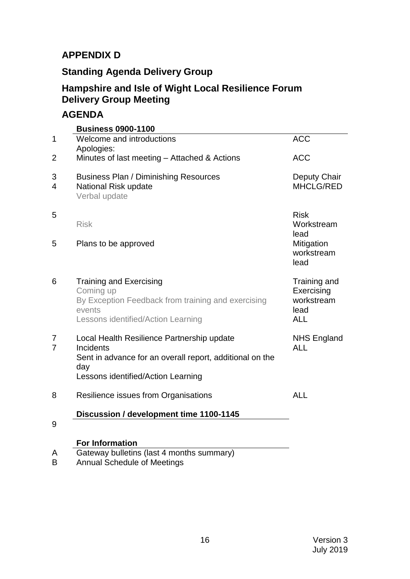#### **APPENDIX D**

## **Standing Agenda Delivery Group**

### **Hampshire and Isle of Wight Local Resilience Forum Delivery Group Meeting**

#### **AGENDA**

|        | <b>Business 0900-1100</b>                                                                                                                                               |                                                                |
|--------|-------------------------------------------------------------------------------------------------------------------------------------------------------------------------|----------------------------------------------------------------|
| 1      | Welcome and introductions<br>Apologies:                                                                                                                                 | <b>ACC</b>                                                     |
| 2      | Minutes of last meeting - Attached & Actions                                                                                                                            | <b>ACC</b>                                                     |
| 3<br>4 | <b>Business Plan / Diminishing Resources</b><br>National Risk update<br>Verbal update                                                                                   | Deputy Chair<br>MHCLG/RED                                      |
| 5      | <b>Risk</b>                                                                                                                                                             | <b>Risk</b><br>Workstream<br>lead                              |
| 5      | Plans to be approved                                                                                                                                                    | Mitigation<br>workstream<br>lead                               |
| 6      | <b>Training and Exercising</b><br>Coming up<br>By Exception Feedback from training and exercising<br>events<br>Lessons identified/Action Learning                       | Training and<br>Exercising<br>workstream<br>lead<br><b>ALL</b> |
| 7<br>7 | Local Health Resilience Partnership update<br><b>Incidents</b><br>Sent in advance for an overall report, additional on the<br>day<br>Lessons identified/Action Learning | <b>NHS England</b><br><b>ALL</b>                               |
| 8      | Resilience issues from Organisations                                                                                                                                    | <b>ALL</b>                                                     |
| 9      | Discussion / development time 1100-1145                                                                                                                                 |                                                                |
|        | <b>For Information</b>                                                                                                                                                  |                                                                |
| A      | Gateway bulletins (last 4 months summary)                                                                                                                               |                                                                |

B Annual Schedule of Meetings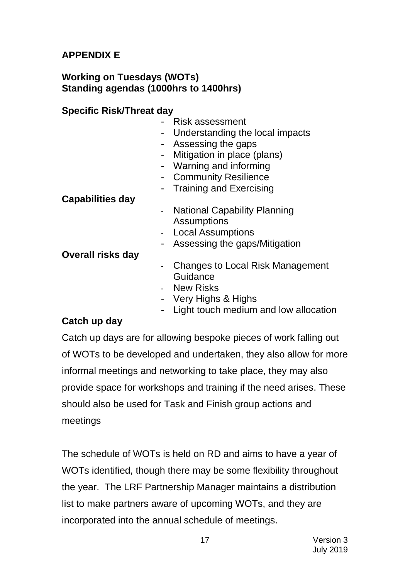### **APPENDIX E**

#### **Working on Tuesdays (WOTs) Standing agendas (1000hrs to 1400hrs)**

#### **Specific Risk/Threat day**

- Risk assessment
- Understanding the local impacts
- Assessing the gaps
- Mitigation in place (plans)
- Warning and informing
- Community Resilience
- Training and Exercising

#### **Capabilities day**

- National Capability Planning **Assumptions**
- Local Assumptions
- Assessing the gaps/Mitigation

#### **Overall risks day**

- Changes to Local Risk Management Guidance
- New Risks
- Very Highs & Highs
- Light touch medium and low allocation

#### **Catch up day**

Catch up days are for allowing bespoke pieces of work falling out of WOTs to be developed and undertaken, they also allow for more informal meetings and networking to take place, they may also provide space for workshops and training if the need arises. These should also be used for Task and Finish group actions and meetings

The schedule of WOTs is held on RD and aims to have a year of WOTs identified, though there may be some flexibility throughout the year. The LRF Partnership Manager maintains a distribution list to make partners aware of upcoming WOTs, and they are incorporated into the annual schedule of meetings.